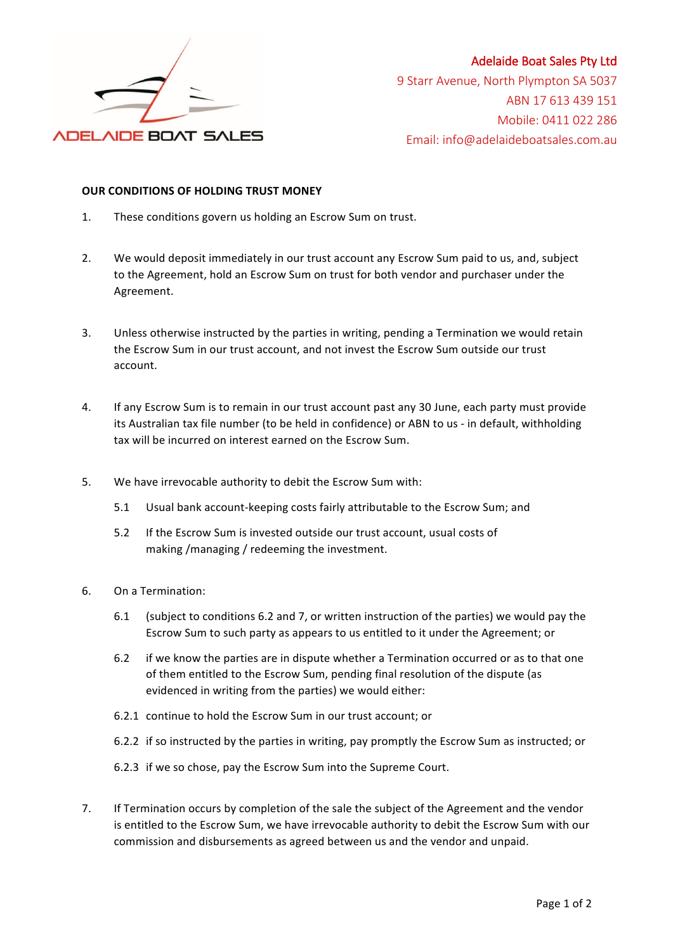

## Adelaide Boat Sales Pty Ltd

9 Starr Avenue, North Plympton SA 5037 ABN 17 613 439 151 Mobile: 0411 022 286 Email: info@adelaideboatsales.com.au

## **OUR CONDITIONS OF HOLDING TRUST MONEY**

- 1. These conditions govern us holding an Escrow Sum on trust.
- 2. We would deposit immediately in our trust account any Escrow Sum paid to us, and, subject to the Agreement, hold an Escrow Sum on trust for both vendor and purchaser under the Agreement.
- 3. Unless otherwise instructed by the parties in writing, pending a Termination we would retain the Escrow Sum in our trust account, and not invest the Escrow Sum outside our trust account.
- 4. If any Escrow Sum is to remain in our trust account past any 30 June, each party must provide its Australian tax file number (to be held in confidence) or ABN to us - in default, withholding tax will be incurred on interest earned on the Escrow Sum.
- 5. We have irrevocable authority to debit the Escrow Sum with:
	- 5.1 Usual bank account-keeping costs fairly attributable to the Escrow Sum; and
	- 5.2 If the Escrow Sum is invested outside our trust account, usual costs of making /managing / redeeming the investment.
- 6. On a Termination:
	- 6.1 (subject to conditions 6.2 and 7, or written instruction of the parties) we would pay the Escrow Sum to such party as appears to us entitled to it under the Agreement; or
	- 6.2 if we know the parties are in dispute whether a Termination occurred or as to that one of them entitled to the Escrow Sum, pending final resolution of the dispute (as evidenced in writing from the parties) we would either:
	- 6.2.1 continue to hold the Escrow Sum in our trust account; or
	- 6.2.2 if so instructed by the parties in writing, pay promptly the Escrow Sum as instructed; or
	- 6.2.3 if we so chose, pay the Escrow Sum into the Supreme Court.
- 7. If Termination occurs by completion of the sale the subject of the Agreement and the vendor is entitled to the Escrow Sum, we have irrevocable authority to debit the Escrow Sum with our commission and disbursements as agreed between us and the vendor and unpaid.